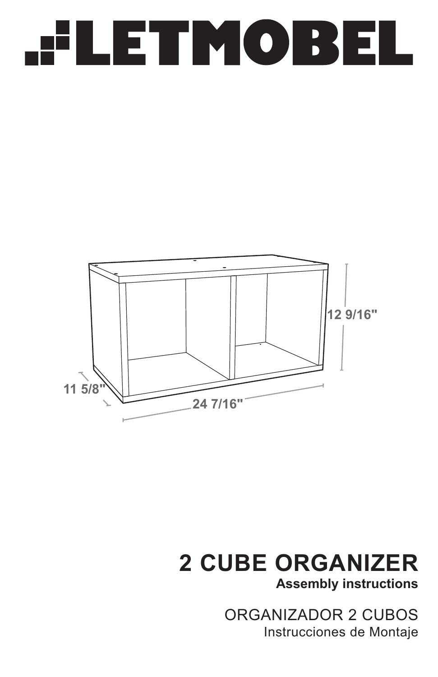# **FLETMOBEL**



## **2 CUBE ORGANIZER Assembly instructions**

Instrucciones de Montaje ORGANIZADOR 2 CUBOS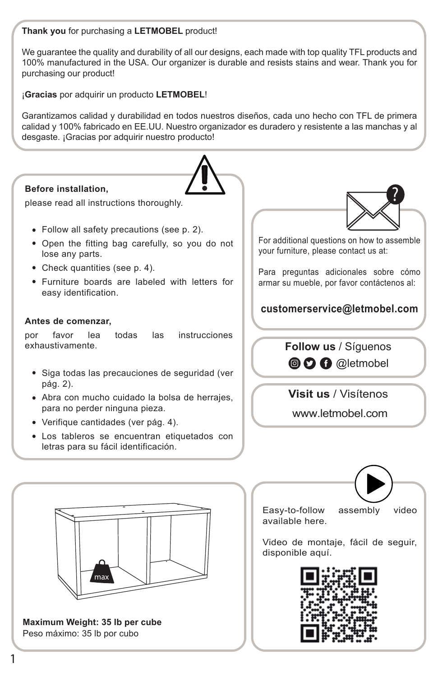#### **Thank you** for purchasing a **LETMOBEL** product!

We guarantee the quality and durability of all our designs, each made with top quality TFL products and 100% manufactured in the USA. Our organizer is durable and resists stains and wear. Thank you for purchasing our product!

¡**Gracias** por adquirir un producto **LETMOBEL**!

Garantizamos calidad y durabilidad en todos nuestros diseños, cada uno hecho con TFL de primera calidad y 100% fabricado en EE.UU. Nuestro organizador es duradero y resistente a las manchas y al desgaste. ¡Gracias por adquirir nuestro producto!

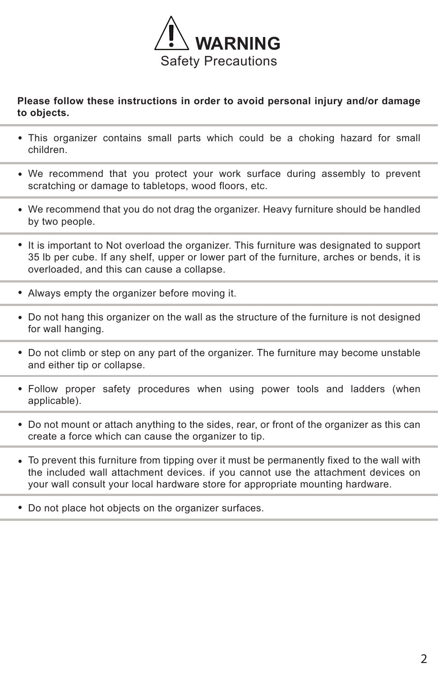

#### **Please follow these instructions in order to avoid personal injury and/or damage to objects.**

- This organizer contains small parts which could be a choking hazard for small children.
- We recommend that you protect your work surface during assembly to prevent scratching or damage to tabletops, wood floors, etc.
- We recommend that you do not drag the organizer. Heavy furniture should be handled by two people.
- It is important to Not overload the organizer. This furniture was designated to support 35 lb per cube. If any shelf, upper or lower part of the furniture, arches or bends, it is overloaded, and this can cause a collapse.
- Always empty the organizer before moving it.
- Do not hang this organizer on the wall as the structure of the furniture is not designed for wall hanging.
- Do not climb or step on any part of the organizer. The furniture may become unstable and either tip or collapse.
- Follow proper safety procedures when using power tools and ladders (when applicable).
- Do not mount or attach anything to the sides, rear, or front of the organizer as this can create a force which can cause the organizer to tip.
- To prevent this furniture from tipping over it must be permanently fixed to the wall with the included wall attachment devices. if you cannot use the attachment devices on your wall consult your local hardware store for appropriate mounting hardware.
- Do not place hot objects on the organizer surfaces.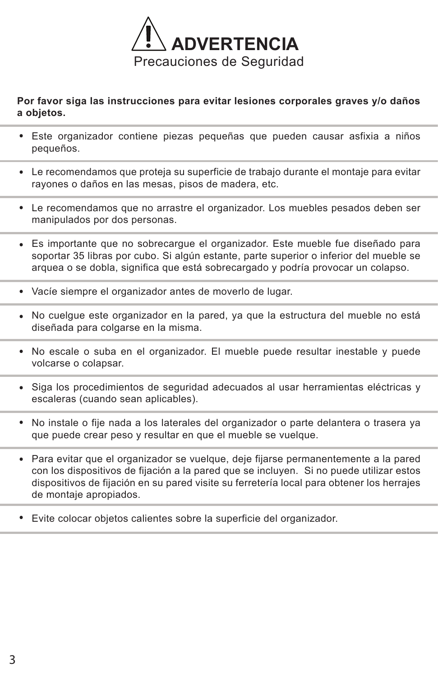

#### **Por favor siga las instrucciones para evitar lesiones corporales graves y/o daños a objetos.**

- Este organizador contiene piezas pequeñas que pueden causar asfixia a niños pequeños.
- Le recomendamos que proteja su superficie de trabajo durante el montaje para evitar rayones o daños en las mesas, pisos de madera, etc.
- Le recomendamos que no arrastre el organizador. Los muebles pesados deben ser manipulados por dos personas.
- Es importante que no sobrecargue el organizador. Este mueble fue diseñado para soportar 35 libras por cubo. Si algún estante, parte superior o inferior del mueble se arquea o se dobla, significa que está sobrecargado y podría provocar un colapso.
- Vacíe siempre el organizador antes de moverlo de lugar.
- No cuelgue este organizador en la pared, ya que la estructura del mueble no está diseñada para colgarse en la misma.
- No escale o suba en el organizador. El mueble puede resultar inestable y puede volcarse o colapsar.
- Siga los procedimientos de seguridad adecuados al usar herramientas eléctricas y escaleras (cuando sean aplicables).
- No instale o fije nada a los laterales del organizador o parte delantera o trasera ya que puede crear peso y resultar en que el mueble se vuelque.
- Para evitar que el organizador se vuelque, deje fijarse permanentemente a la pared con los dispositivos de fijación a la pared que se incluyen. Si no puede utilizar estos dispositivos de fijación en su pared visite su ferretería local para obtener los herrajes de montaje apropiados.
- Evite colocar objetos calientes sobre la superficie del organizador.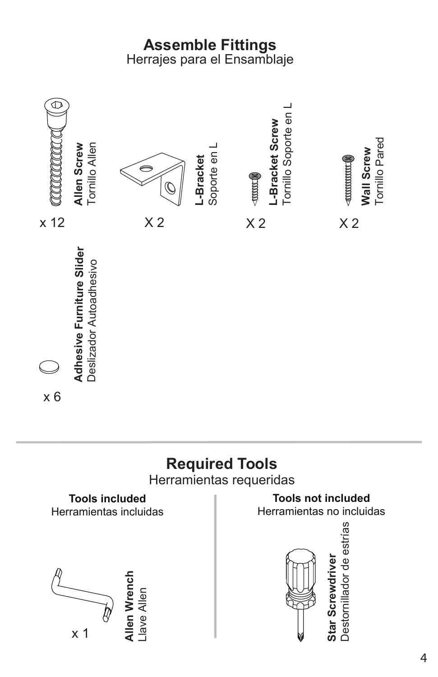### **Assemble Fittings** Herrajes para el Ensamblaje

 $\overline{\mathbb{C}}$ Tornillo Soporte en L Tornillo Soporte en L-Bracket Screw **L-Bracket Screw** Tornillo Pared Tornillo Pared Tornillo Allen Allen Screw **Allen Screw** Tornillo Allen Soporte en LWall Screw Soporte en l **Wall Screw** L-Bracket **L-Bracket EXAMPLE SECTION TITHE &** x 12 X 2  $X 2$   $X 2$ Adhesive Furniture Slider<br>Deslizador Autoadhesivo **Adhesive Furniture Slider** Deslizador Autoadhesivo

# **Required Tools**

x 6

Herramientas requeridas

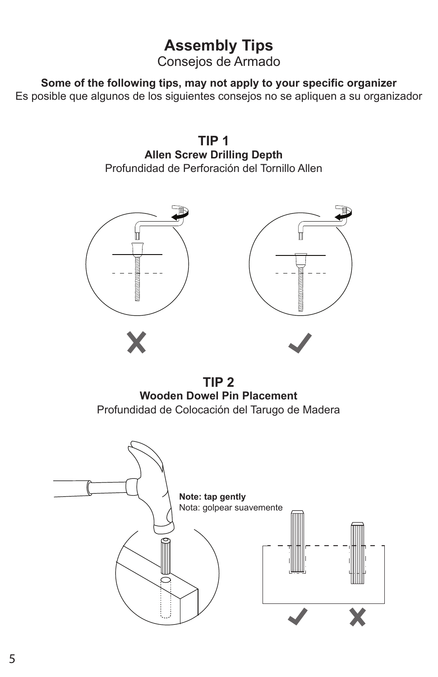## **Assembly Tips**

Consejos de Armado

**Some of the following tips, may not apply to your specific organizer** Es posible que algunos de los siguientes consejos no se apliquen a su organizador

> **Allen Screw Drilling Depth**  Profundidad de Perforación del Tornillo Allen **TIP 1**





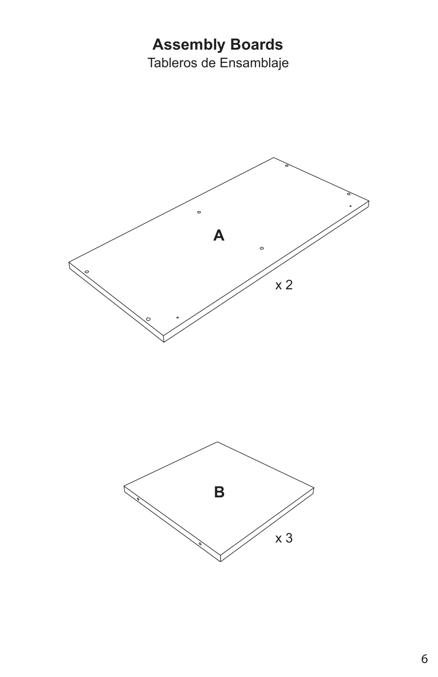# **Assembly Boards**

Tableros de Ensamblaje



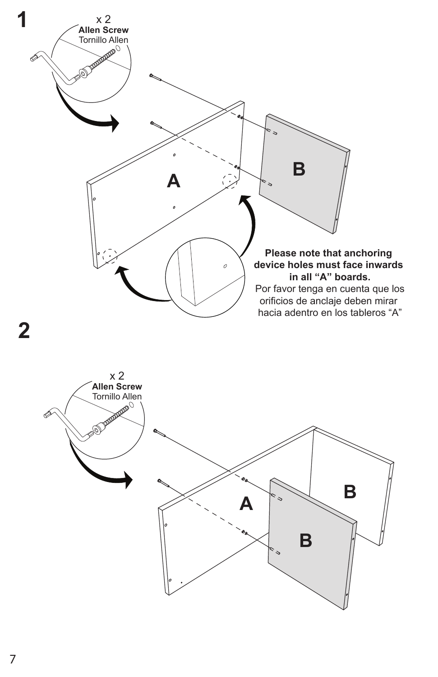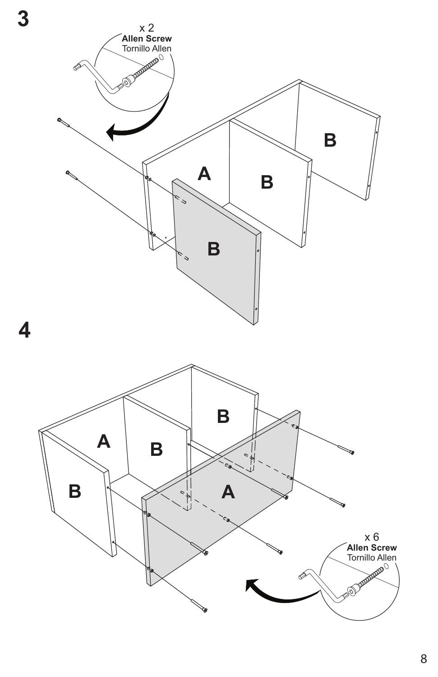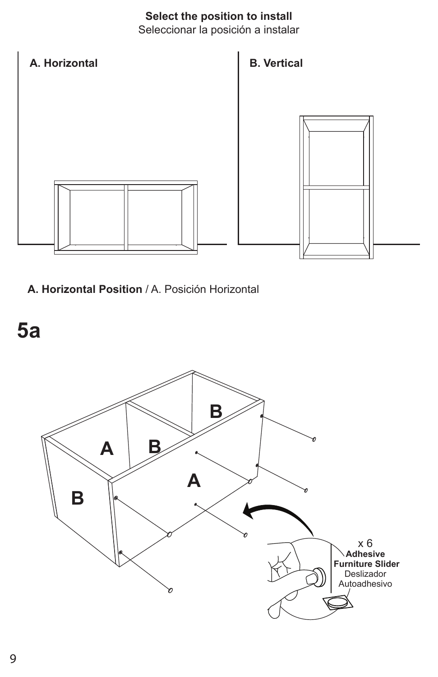#### **Select the position to install**

Seleccionar la posición a instalar



**A. Horizontal Position** / A. Posición Horizontal

## **5a**

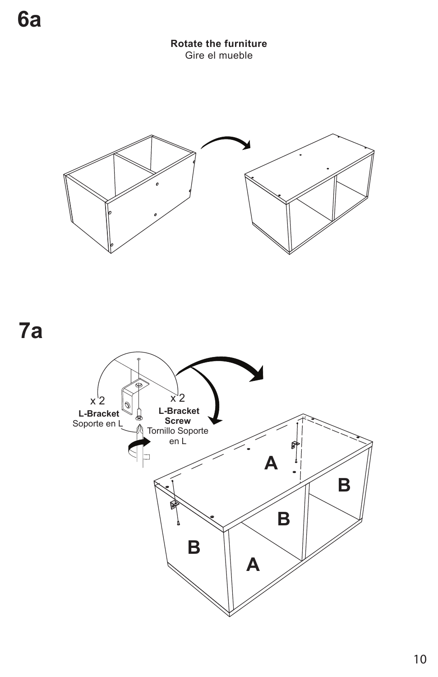Rotate the furniture Gire el mueble



7a

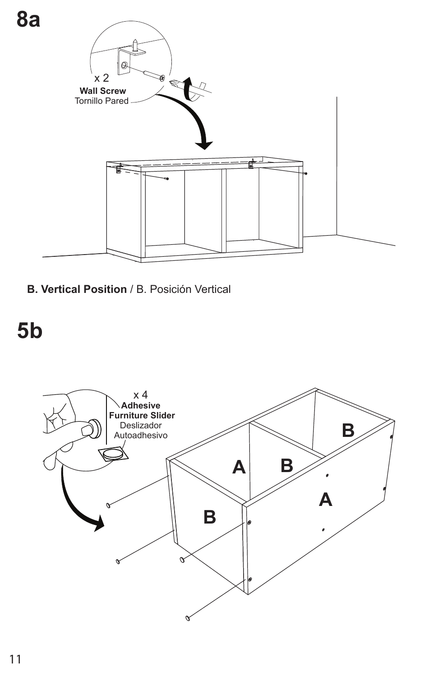

**B. Vertical Position** / B. Posición Vertical

## **5b**

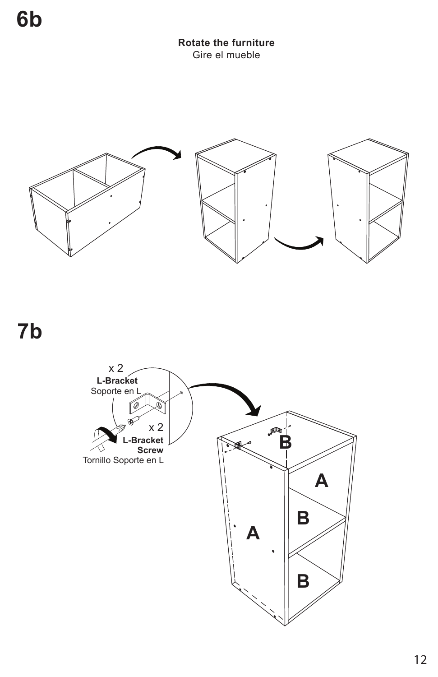Rotate the furniture Gire el mueble



7b

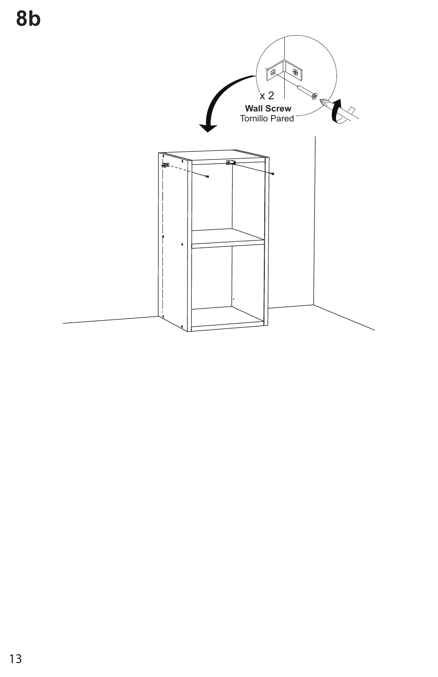$8<sub>b</sub>$